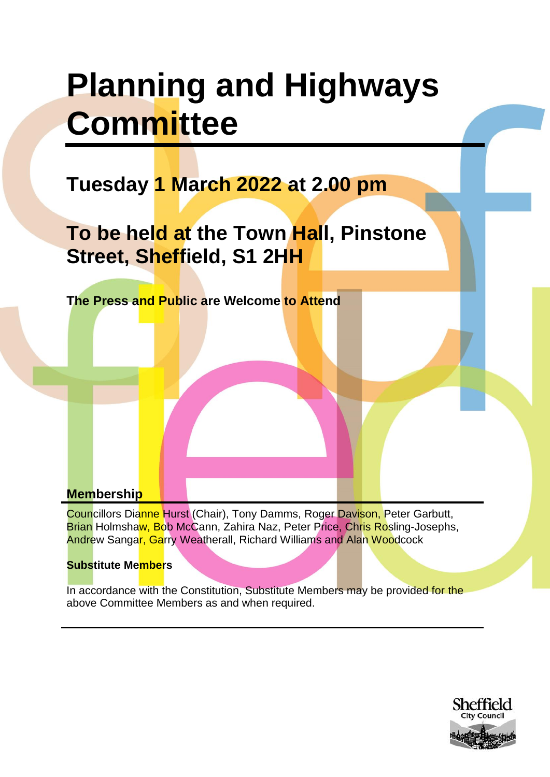# **Planning and Highways Committee**

# **Tuesday 1 March 2022 at 2.00 pm**

**To be held at the Town Hall, Pinstone Street, Sheffield, S1 2HH**

**The Press and Public are Welcome to Attend**

# **Membership**

Councillors Dianne Hurst (Chair), Tony Damms, Roger Davison, Peter Garbutt, Brian Holmshaw, Bob McCann, Zahira Naz, Peter Price, Chris Rosling-Josephs, Andrew Sangar, Garry Weatherall, Richard Williams and Alan Woodcock

### **Substitute Members**

In accordance with the Constitution, Substitute Members may be provided for the above Committee Members as and when required.

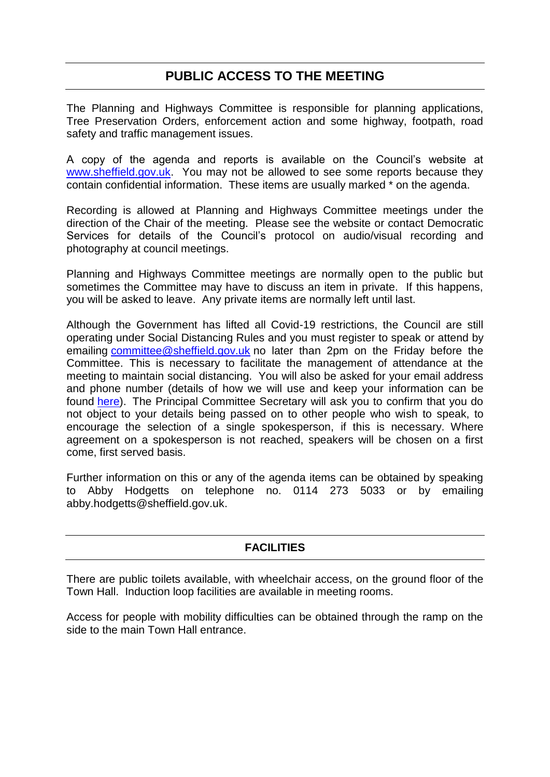# **PUBLIC ACCESS TO THE MEETING**

The Planning and Highways Committee is responsible for planning applications, Tree Preservation Orders, enforcement action and some highway, footpath, road safety and traffic management issues.

A copy of the agenda and reports is available on the Council's website at [www.sheffield.gov.uk.](http://www.sheffield.gov.uk/) You may not be allowed to see some reports because they contain confidential information. These items are usually marked \* on the agenda.

Recording is allowed at Planning and Highways Committee meetings under the direction of the Chair of the meeting. Please see the website or contact Democratic Services for details of the Council's protocol on audio/visual recording and photography at council meetings.

Planning and Highways Committee meetings are normally open to the public but sometimes the Committee may have to discuss an item in private. If this happens, you will be asked to leave. Any private items are normally left until last.

Although the Government has lifted all Covid-19 restrictions, the Council are still operating under Social Distancing Rules and you must register to speak or attend by emailing [committee@sheffield.gov.uk](mailto:committee@sheffield.gov.uk) no later than 2pm on the Friday before the Committee. This is necessary to facilitate the management of attendance at the meeting to maintain social distancing. You will also be asked for your email address and phone number (details of how we will use and keep your information can be found [here\)](https://www.sheffield.gov.uk/utilities/footer-links/privacy-notice.html). The Principal Committee Secretary will ask you to confirm that you do not object to your details being passed on to other people who wish to speak, to encourage the selection of a single spokesperson, if this is necessary. Where agreement on a spokesperson is not reached, speakers will be chosen on a first come, first served basis.

Further information on this or any of the agenda items can be obtained by speaking to Abby Hodgetts on telephone no. 0114 273 5033 or by emailing abby.hodgetts@sheffield.gov.uk.

### **FACILITIES**

There are public toilets available, with wheelchair access, on the ground floor of the Town Hall. Induction loop facilities are available in meeting rooms.

Access for people with mobility difficulties can be obtained through the ramp on the side to the main Town Hall entrance.